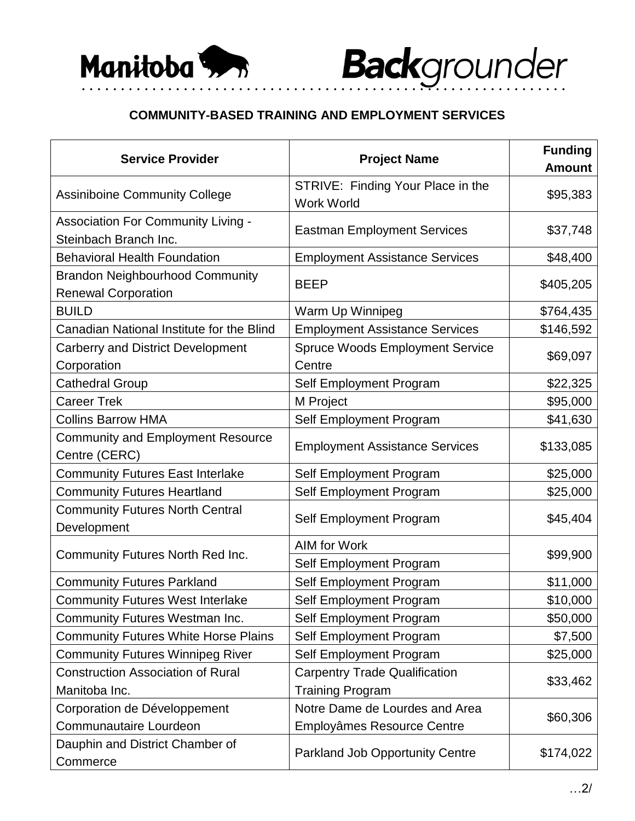## **COMMUNITY-BASED TRAINING AND EMPLOYMENT SERVICES**

• • • • • • • • • • • • • • • • • • • • • • • • • • • • • • • • • • • • • • • • • • • • • • • • • • • • • • • • • • • • • •

| <b>Service Provider</b>                                              | <b>Project Name</b>                                    | <b>Funding</b><br><b>Amount</b> |
|----------------------------------------------------------------------|--------------------------------------------------------|---------------------------------|
| <b>Assiniboine Community College</b>                                 | STRIVE: Finding Your Place in the<br><b>Work World</b> | \$95,383                        |
| <b>Association For Community Living -</b><br>Steinbach Branch Inc.   | <b>Eastman Employment Services</b>                     | \$37,748                        |
| <b>Behavioral Health Foundation</b>                                  | <b>Employment Assistance Services</b>                  | \$48,400                        |
| <b>Brandon Neighbourhood Community</b><br><b>Renewal Corporation</b> | <b>BEEP</b>                                            | \$405,205                       |
| <b>BUILD</b>                                                         | Warm Up Winnipeg                                       | \$764,435                       |
| Canadian National Institute for the Blind                            | <b>Employment Assistance Services</b>                  | \$146,592                       |
| <b>Carberry and District Development</b>                             | <b>Spruce Woods Employment Service</b>                 | \$69,097                        |
| Corporation                                                          | Centre                                                 |                                 |
| <b>Cathedral Group</b>                                               | Self Employment Program                                | \$22,325                        |
| <b>Career Trek</b>                                                   | M Project                                              | \$95,000                        |
| <b>Collins Barrow HMA</b>                                            | Self Employment Program                                | \$41,630                        |
| <b>Community and Employment Resource</b><br>Centre (CERC)            | <b>Employment Assistance Services</b>                  | \$133,085                       |
| <b>Community Futures East Interlake</b>                              | Self Employment Program                                | \$25,000                        |
| <b>Community Futures Heartland</b>                                   | Self Employment Program                                | \$25,000                        |
| <b>Community Futures North Central</b><br>Development                | Self Employment Program                                | \$45,404                        |
|                                                                      | <b>AIM for Work</b>                                    | \$99,900                        |
| Community Futures North Red Inc.                                     | Self Employment Program                                |                                 |
| <b>Community Futures Parkland</b>                                    | Self Employment Program                                | \$11,000                        |
| <b>Community Futures West Interlake</b>                              | Self Employment Program                                | \$10,000                        |
| <b>Community Futures Westman Inc.</b>                                | Self Employment Program                                | \$50,000                        |
| <b>Community Futures White Horse Plains</b>                          | Self Employment Program                                | \$7,500                         |
| <b>Community Futures Winnipeg River</b>                              | Self Employment Program                                | \$25,000                        |
| <b>Construction Association of Rural</b>                             | <b>Carpentry Trade Qualification</b>                   | \$33,462                        |
| Manitoba Inc.                                                        | <b>Training Program</b>                                |                                 |
| Corporation de Développement                                         | Notre Dame de Lourdes and Area                         | \$60,306                        |
| Communautaire Lourdeon                                               | Employâmes Resource Centre                             |                                 |
| Dauphin and District Chamber of<br>Commerce                          | <b>Parkland Job Opportunity Centre</b>                 | \$174,022                       |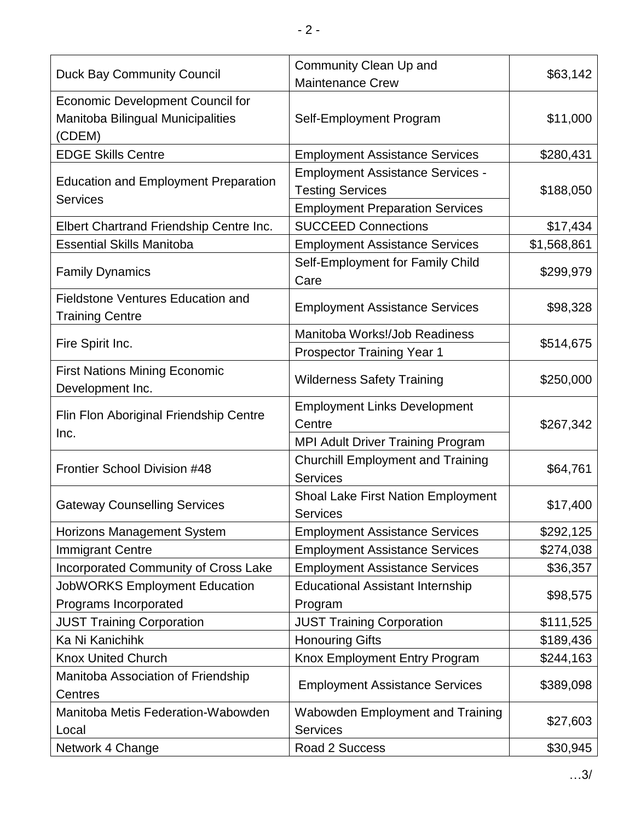| <b>Duck Bay Community Council</b>                                  | Community Clean Up and<br><b>Maintenance Crew</b>                  | \$63,142    |
|--------------------------------------------------------------------|--------------------------------------------------------------------|-------------|
| <b>Economic Development Council for</b>                            |                                                                    |             |
| Manitoba Bilingual Municipalities<br>(CDEM)                        | Self-Employment Program                                            | \$11,000    |
| <b>EDGE Skills Centre</b>                                          | <b>Employment Assistance Services</b>                              | \$280,431   |
| <b>Education and Employment Preparation</b><br><b>Services</b>     | <b>Employment Assistance Services -</b><br><b>Testing Services</b> | \$188,050   |
|                                                                    | <b>Employment Preparation Services</b>                             |             |
| Elbert Chartrand Friendship Centre Inc.                            | <b>SUCCEED Connections</b>                                         | \$17,434    |
| <b>Essential Skills Manitoba</b>                                   | <b>Employment Assistance Services</b>                              | \$1,568,861 |
| <b>Family Dynamics</b>                                             | Self-Employment for Family Child<br>Care                           | \$299,979   |
| <b>Fieldstone Ventures Education and</b><br><b>Training Centre</b> | <b>Employment Assistance Services</b>                              | \$98,328    |
|                                                                    | Manitoba Works!/Job Readiness                                      | \$514,675   |
| Fire Spirit Inc.                                                   | <b>Prospector Training Year 1</b>                                  |             |
| <b>First Nations Mining Economic</b><br>Development Inc.           | <b>Wilderness Safety Training</b>                                  | \$250,000   |
| Flin Flon Aboriginal Friendship Centre<br>Inc.                     | <b>Employment Links Development</b><br>Centre                      | \$267,342   |
|                                                                    | <b>MPI Adult Driver Training Program</b>                           |             |
| Frontier School Division #48                                       | <b>Churchill Employment and Training</b><br><b>Services</b>        | \$64,761    |
| <b>Gateway Counselling Services</b>                                | Shoal Lake First Nation Employment<br><b>Services</b>              | \$17,400    |
| Horizons Management System                                         | <b>Employment Assistance Services</b>                              | \$292,125   |
| <b>Immigrant Centre</b>                                            | <b>Employment Assistance Services</b>                              | \$274,038   |
| <b>Incorporated Community of Cross Lake</b>                        | <b>Employment Assistance Services</b>                              | \$36,357    |
| <b>JobWORKS Employment Education</b>                               | <b>Educational Assistant Internship</b>                            | \$98,575    |
| Programs Incorporated                                              | Program                                                            |             |
| <b>JUST Training Corporation</b>                                   | <b>JUST Training Corporation</b>                                   | \$111,525   |
| Ka Ni Kanichihk                                                    | <b>Honouring Gifts</b>                                             | \$189,436   |
| <b>Knox United Church</b>                                          | Knox Employment Entry Program                                      | \$244,163   |
| Manitoba Association of Friendship<br>Centres                      | <b>Employment Assistance Services</b>                              | \$389,098   |
| Manitoba Metis Federation-Wabowden<br>Local                        | Wabowden Employment and Training<br><b>Services</b>                | \$27,603    |
| Network 4 Change                                                   | Road 2 Success                                                     | \$30,945    |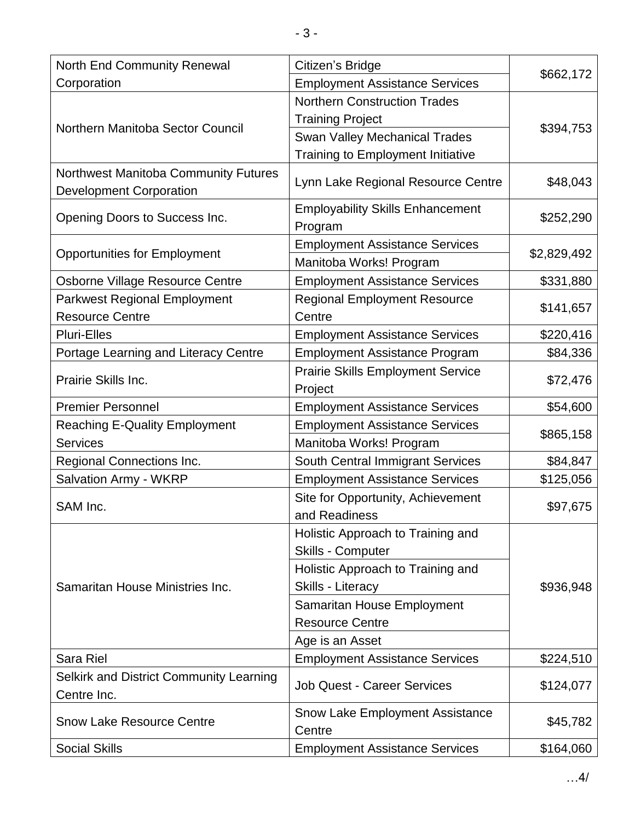| <b>North End Community Renewal</b>      | Citizen's Bridge                         | \$662,172   |
|-----------------------------------------|------------------------------------------|-------------|
| Corporation                             | <b>Employment Assistance Services</b>    |             |
| Northern Manitoba Sector Council        | <b>Northern Construction Trades</b>      | \$394,753   |
|                                         | <b>Training Project</b>                  |             |
|                                         | <b>Swan Valley Mechanical Trades</b>     |             |
|                                         | <b>Training to Employment Initiative</b> |             |
| Northwest Manitoba Community Futures    |                                          |             |
| <b>Development Corporation</b>          | Lynn Lake Regional Resource Centre       | \$48,043    |
| Opening Doors to Success Inc.           | <b>Employability Skills Enhancement</b>  | \$252,290   |
|                                         | Program                                  |             |
|                                         | <b>Employment Assistance Services</b>    | \$2,829,492 |
| <b>Opportunities for Employment</b>     | Manitoba Works! Program                  |             |
| <b>Osborne Village Resource Centre</b>  | <b>Employment Assistance Services</b>    | \$331,880   |
| <b>Parkwest Regional Employment</b>     | <b>Regional Employment Resource</b>      | \$141,657   |
| <b>Resource Centre</b>                  | Centre                                   |             |
| <b>Pluri-Elles</b>                      | <b>Employment Assistance Services</b>    | \$220,416   |
| Portage Learning and Literacy Centre    | <b>Employment Assistance Program</b>     | \$84,336    |
| Prairie Skills Inc.                     | <b>Prairie Skills Employment Service</b> | \$72,476    |
|                                         | Project                                  |             |
| <b>Premier Personnel</b>                | <b>Employment Assistance Services</b>    | \$54,600    |
| <b>Reaching E-Quality Employment</b>    | <b>Employment Assistance Services</b>    | \$865,158   |
| <b>Services</b>                         | Manitoba Works! Program                  |             |
| Regional Connections Inc.               | South Central Immigrant Services         | \$84,847    |
| <b>Salvation Army - WKRP</b>            | <b>Employment Assistance Services</b>    | \$125,056   |
| SAM Inc.                                | Site for Opportunity, Achievement        | \$97,675    |
|                                         | and Readiness                            |             |
|                                         | Holistic Approach to Training and        | \$936,948   |
|                                         | <b>Skills - Computer</b>                 |             |
|                                         | Holistic Approach to Training and        |             |
| Samaritan House Ministries Inc.         | <b>Skills - Literacy</b>                 |             |
|                                         | Samaritan House Employment               |             |
|                                         | <b>Resource Centre</b>                   |             |
|                                         | Age is an Asset                          |             |
| <b>Sara Riel</b>                        | <b>Employment Assistance Services</b>    | \$224,510   |
| Selkirk and District Community Learning | <b>Job Quest - Career Services</b>       | \$124,077   |
| Centre Inc.                             |                                          |             |
| <b>Snow Lake Resource Centre</b>        | <b>Snow Lake Employment Assistance</b>   | \$45,782    |
|                                         | Centre                                   |             |
| <b>Social Skills</b>                    | <b>Employment Assistance Services</b>    | \$164,060   |